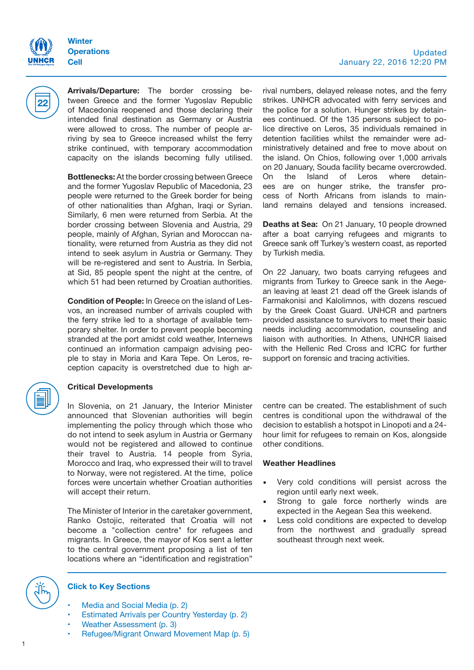

**22**

**Arrivals/Departure:** The border crossing between Greece and the former Yugoslav Republic of Macedonia reopened and those declaring their intended final destination as Germany or Austria were allowed to cross. The number of people arriving by sea to Greece increased whilst the ferry strike continued, with temporary accommodation capacity on the islands becoming fully utilised.

**Bottlenecks:** At the border crossing between Greece and the former Yugoslav Republic of Macedonia, 23 people were returned to the Greek border for being of other nationalities than Afghan, Iraqi or Syrian. Similarly, 6 men were returned from Serbia. At the border crossing between Slovenia and Austria, 29 people, mainly of Afghan, Syrian and Moroccan nationality, were returned from Austria as they did not intend to seek asylum in Austria or Germany. They will be re-registered and sent to Austria. In Serbia, at Sid, 85 people spent the night at the centre, of which 51 had been returned by Croatian authorities.

**Condition of People:** In Greece on the island of Lesvos, an increased number of arrivals coupled with the ferry strike led to a shortage of available temporary shelter. In order to prevent people becoming stranded at the port amidst cold weather, Internews continued an information campaign advising people to stay in Moria and Kara Tepe. On Leros, reception capacity is overstretched due to high ar-

### **Critical Developments**

In Slovenia, on 21 January, the Interior Minister announced that Slovenian authorities will begin implementing the policy through which those who do not intend to seek asylum in Austria or Germany would not be registered and allowed to continue their travel to Austria. 14 people from Syria, Morocco and Iraq, who expressed their will to travel to Norway, were not registered. At the time, police forces were uncertain whether Croatian authorities will accept their return.

The Minister of Interior in the caretaker government, Ranko Ostojic, reiterated that Croatia will not become a "collection centre" for refugees and migrants. In Greece, the mayor of Kos sent a letter to the central government proposing a list of ten locations where an "identification and registration"

rival numbers, delayed release notes, and the ferry strikes. UNHCR advocated with ferry services and the police for a solution. Hunger strikes by detainees continued. Of the 135 persons subject to police directive on Leros, 35 individuals remained in detention facilities whilst the remainder were administratively detained and free to move about on the island. On Chios, following over 1,000 arrivals on 20 January, Souda facility became overcrowded. On the Island of Leros where detainees are on hunger strike, the transfer process of North Africans from islands to mainland remains delayed and tensions increased.

**Deaths at Sea:** On 21 January, 10 people drowned after a boat carrying refugees and migrants to Greece sank off Turkey's western coast, as reported by Turkish media.

On 22 January, two boats carrying refugees and migrants from Turkey to Greece sank in the Aegean leaving at least 21 dead off the Greek islands of Farmakonisi and Kalolimnos, with dozens rescued by the Greek Coast Guard. UNHCR and partners provided assistance to survivors to meet their basic needs including accommodation, counseling and liaison with authorities. In Athens, UNHCR liaised with the Hellenic Red Cross and ICRC for further support on forensic and tracing activities.

centre can be created. The establishment of such centres is conditional upon the withdrawal of the decision to establish a hotspot in Linopoti and a 24 hour limit for refugees to remain on Kos, alongside other conditions.

#### **Weather Headlines**

- Very cold conditions will persist across the region until early next week.
- Strong to gale force northerly winds are expected in the Aegean Sea this weekend.
- Less cold conditions are expected to develop from the northwest and gradually spread southeast through next week.



#### **Click to Key Sections**

- Media and [Social Media](#page-1-0) (p. 2)
- [Estimated Arrivals per Country Yesterday](#page-1-1) (p. 2)
- [Weather Assessment \(](#page-2-0)p. 3)
- [Refugee/Migrant Onward Movement Map](#page-4-0) (p. 5)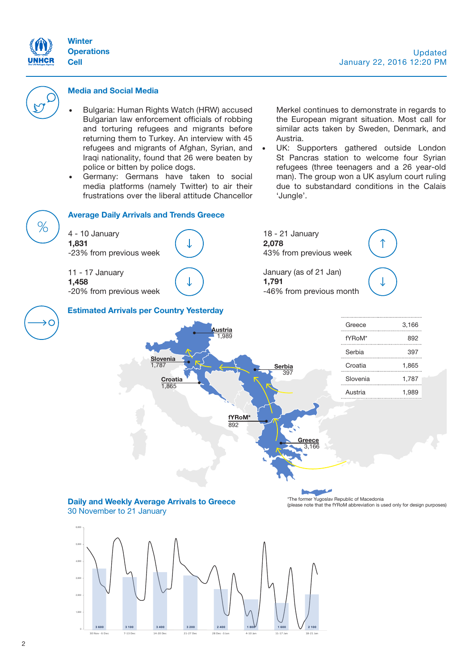



#### <span id="page-1-0"></span>**Media and Social Media**

- Bulgaria: Human Rights Watch (HRW) accused Bulgarian law enforcement officials of robbing and torturing refugees and migrants before returning them to Turkey. An interview with 45 refugees and migrants of Afghan, Syrian, and Iraqi nationality, found that 26 were beaten by police or bitten by police dogs.
- Germany: Germans have taken to social media platforms (namely Twitter) to air their frustrations over the liberal attitude Chancellor

Merkel continues to demonstrate in regards to the European migrant situation. Most call for similar acts taken by Sweden, Denmark, and Austria.

UK: Supporters gathered outside London St Pancras station to welcome four Syrian refugees (three teenagers and a 26 year-old man). The group won a UK asylum court ruling due to substandard conditions in the Calais 'Jungle'.

<span id="page-1-1"></span>

30 Nov - 6 Dec 7-13 Dec 14-20 Dec 21-27 Dec 28 Dec -3 Jan 4-10 Jan 11-17 Jan 18-21 Jan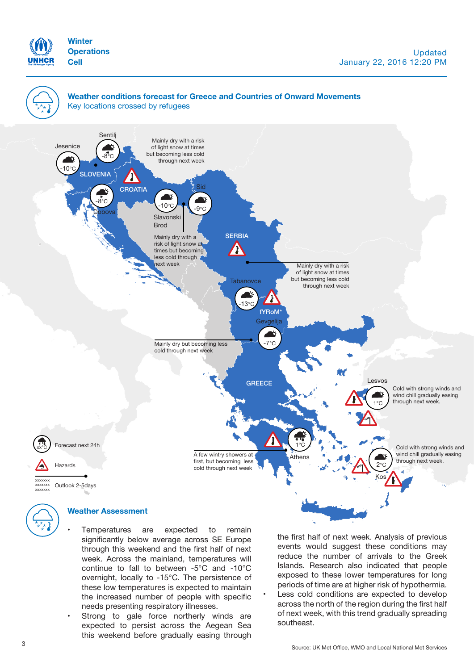



<span id="page-2-0"></span>Temperatures are expected to remain significantly below average across SE Europe through this weekend and the first half of next week. Across the mainland, temperatures will continue to fall to between -5°C and -10°C overnight, locally to -15°C. The persistence of these low temperatures is expected to maintain the increased number of people with specific needs presenting respiratory illnesses.

Strong to gale force northerly winds are expected to persist across the Aegean Sea this weekend before gradually easing through the first half of next week. Analysis of previous events would suggest these conditions may reduce the number of arrivals to the Greek Islands. Research also indicated that people exposed to these lower temperatures for long periods of time are at higher risk of hypothermia. Less cold conditions are expected to develop across the north of the region during the first half of next week, with this trend gradually spreading southeast.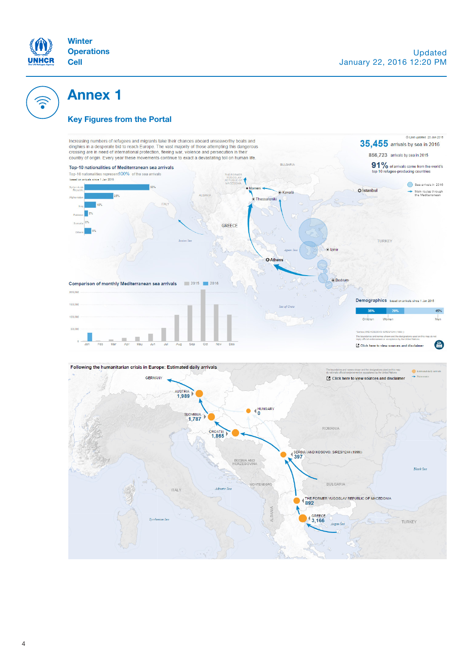

 $\widehat{\bullet}$ 

# **Annex 1**

### **Key Figures from the Portal**





4